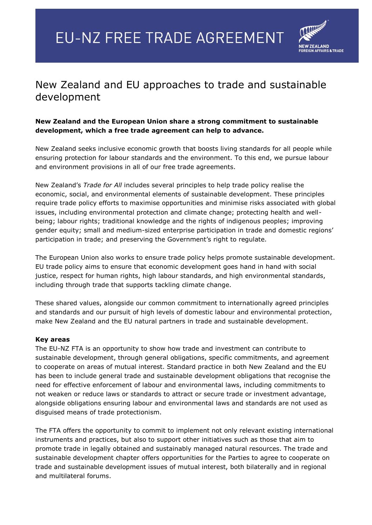## **EU-NZ FREE TRADE AGREEMENT**



## New Zealand and EU approaches to trade and sustainable development

## **New Zealand and the European Union share a strong commitment to sustainable development, which a free trade agreement can help to advance.**

New Zealand seeks inclusive economic growth that boosts living standards for all people while ensuring protection for labour standards and the environment. To this end, we pursue labour and environment provisions in all of our free trade agreements.

New Zealand's *Trade for All* includes several principles to help trade policy realise the economic, social, and environmental elements of sustainable development. These principles require trade policy efforts to maximise opportunities and minimise risks associated with global issues, including environmental protection and climate change; protecting health and wellbeing; labour rights; traditional knowledge and the rights of indigenous peoples; improving gender equity; small and medium-sized enterprise participation in trade and domestic regions' participation in trade; and preserving the Government's right to regulate.

The European Union also works to ensure trade policy helps promote sustainable development. EU trade policy aims to ensure that economic development goes hand in hand with social justice, respect for human rights, high labour standards, and high environmental standards, including through trade that supports tackling climate change.

These shared values, alongside our common commitment to internationally agreed principles and standards and our pursuit of high levels of domestic labour and environmental protection, make New Zealand and the EU natural partners in trade and sustainable development.

## **Key areas**

The EU-NZ FTA is an opportunity to show how trade and investment can contribute to sustainable development, through general obligations, specific commitments, and agreement to cooperate on areas of mutual interest. Standard practice in both New Zealand and the EU has been to include general trade and sustainable development obligations that recognise the need for effective enforcement of labour and environmental laws, including commitments to not weaken or reduce laws or standards to attract or secure trade or investment advantage, alongside obligations ensuring labour and environmental laws and standards are not used as disguised means of trade protectionism.

The FTA offers the opportunity to commit to implement not only relevant existing international instruments and practices, but also to support other initiatives such as those that aim to promote trade in legally obtained and sustainably managed natural resources. The trade and sustainable development chapter offers opportunities for the Parties to agree to cooperate on trade and sustainable development issues of mutual interest, both bilaterally and in regional and multilateral forums.